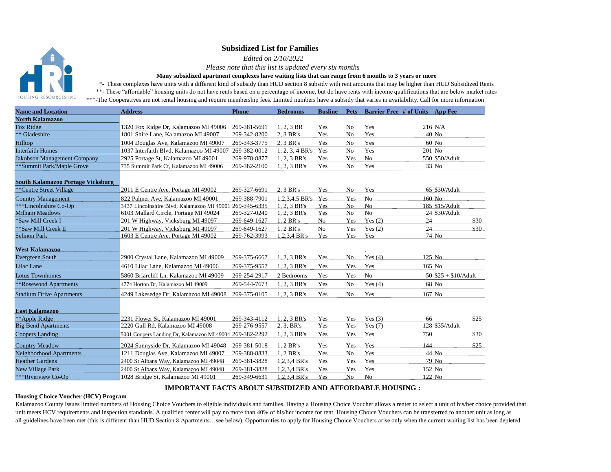## **Subsidized List for Families**

 *Edited on 2/10/2022* 

 *Please note that this list is updated every six months*

**Many subsidized apartment complexes have waiting lists that can range from 6 months to 3 years or more**

*\*-* These complexes have units with a different kind of subsidy than HUD section 8 subsidy with rent amounts that may be higher than HUD Subsidized Rents \*\*- These "affordable" housing units do not have rents based on a percentage of income, but do have rents with income qualifications that are below market rates

HOUSING RESOURCES INC \*\*\*-The Cooperatives are not rental housing and require membership fees. Limited numbers have a subsidy that varies in availability. Call for more information

| <b>Name and Location</b>                 | <b>Address</b>                                           | <b>Phone</b> | <b>Bedrooms</b>    | <b>Busline</b> |                |                | Pets Barrier Free # of Units App Fee |      |
|------------------------------------------|----------------------------------------------------------|--------------|--------------------|----------------|----------------|----------------|--------------------------------------|------|
| <b>North Kalamazoo</b>                   |                                                          |              |                    |                |                |                |                                      |      |
| Fox Ridge                                | 1320 Fox Ridge Dr, Kalamazoo MI 49006                    | 269-381-5691 | $1, 2, 3$ BR       | Yes            | No             | Yes            | 216 N/A                              |      |
| ** Gladeshire                            | 1801 Shire Lane, Kalamazoo MI 49007                      | 269-342-8200 | 2, 3 BR's          | Yes            | N <sub>o</sub> | Yes            | 40 No                                |      |
| Hilltop                                  | 1004 Douglas Ave, Kalamazoo MI 49007                     | 269-343-3775 | 2, 3 BR's          | Yes            | N <sub>0</sub> | Yes            | 60 No                                |      |
| <b>Interfaith Homes</b>                  | 1037 Interfaith Blvd, Kalamazoo MI 49007                 | 269-382-0012 | 1, 2, 3, 4 BR's    | Yes            | No             | Yes            | 201 No                               |      |
| Jakobson Management Company              | 2925 Portage St, Kalamazoo MI 49001                      | 269-978-8877 | 1, 2, 3 BR's       | Yes            | Yes            | No             | 550 \$50/Adult                       |      |
| **Summit Park/Maple Grove                | 735 Summit Park Ct, Kalamazoo MI 49006                   | 269-382-2100 | 1, 2, 3 BR's       | Yes            | No             | Yes            | 33 No                                |      |
| <b>South Kalamazoo Portage Vicksburg</b> |                                                          |              |                    |                |                |                |                                      |      |
| **Centre Street Village                  | 2011 E Centre Ave, Portage MI 49002                      | 269-327-6691 | 2, 3 BR's          | Yes            | No             | Yes            | 65 \$30/Adult                        |      |
| <b>Country Management</b>                | 822 Palmer Ave. Kalamazoo MI 49001                       | 269-388-7901 | 1.2.3.4.5 BR's Yes |                | <b>Yes</b>     | N <sub>0</sub> | $160$ No                             |      |
| ***Lincolnshire Co-Op                    | 3437 Lincolnshire Blvd, Kalamazoo MI 49001 269-345-6335  |              | 1, 2, 3 BR's       | Yes            | No             | No             | 185 \$15/Adult                       |      |
| <b>Milham Meadows</b>                    | 6103 Mallard Circle, Portage MI 49024                    | 269-327-0240 | 1, 2, 3 BR's       | Yes            | No             | No             | 24 \$30/Adult                        |      |
| *Saw Mill Creek I                        | 201 W Highway, Vicksburg MI 49097                        | 269-649-1627 | 1, 2 BR's          | N <sub>o</sub> | Yes            | Yes $(2)$      | 24                                   | \$30 |
| ** Saw Mill Creek II                     | 201 W Highway, Vicksburg MI 49097                        | 269-649-1627 | 1.2 BR's           | No             | <b>Yes</b>     | Yes(2)         | 24                                   | \$30 |
| <b>Selinon Park</b>                      | 1603 E Centre Ave, Portage MI 49002                      | 269-762-3993 | 1,2,3,4 BR's       | Yes            | Yes            | Yes            | 74 No                                |      |
| <b>West Kalamazoo</b>                    |                                                          |              |                    |                |                |                |                                      |      |
| <b>Evergreen South</b>                   | 2900 Crystal Lane, Kalamazoo MI 49009                    | 269-375-6667 | 1, 2, 3 BR's       | Yes            | No             | Yes $(4)$      | 125 No                               |      |
| Lilac Lane                               | 4610 Lilac Lane. Kalamazoo MI 49006                      | 269-375-9557 | 1, 2, 3 BR's       | Yes            | Yes            | Yes            | $165$ No                             |      |
| <b>Lotus Townhomes</b>                   | 5860 Briarcliff Ln. Kalamazoo MI 49009                   | 269-254-2917 | 2 Bedrooms         | Yes            | Yes            | No             | 50 $$25 + $10/Adult$                 |      |
| **Rosewood Apartments                    | 4774 Horton Dr. Kalamazoo MI 49009                       | 269-544-7673 | 1, 2, 3 BR's       | Yes            | No             | Yes $(4)$      | 68 No                                |      |
| <b>Stadium Drive Apartments</b>          | 4249 Lakesedge Dr, Kalamazoo MI 49008                    | 269-375-0105 | 1, 2, 3 BR's       | Yes            | No             | Yes            | 167 No                               |      |
| <b>East Kalamazoo</b>                    |                                                          |              |                    |                |                |                |                                      |      |
| **Apple Ridge                            | 2231 Flower St. Kalamazoo MI 49001                       | 269-343-4112 | 1, 2, 3 BR's       | Yes            | Yes            | Yes $(3)$      | 66                                   | \$25 |
| <b>Big Bend Apartments</b>               | 2220 Gull Rd, Kalamazoo MI 49008                         | 269-276-9557 | 2, 3, BR's         | Yes            | Yes            | Yes $(7)$      | 128 \$35/Adult                       |      |
| <b>Coopers Landing</b>                   | 5001 Coopers Landing Dr, Kalamazoo MI 49004 269-382-2292 |              | 1, 2, 3 BR's       | Yes            | Yes            | Yes            | 750                                  | \$30 |
| <b>Country Meadow</b>                    | 2024 Sunnyside Dr. Kalamazoo MI 49048                    | 269-381-5018 | 1, 2 BR's          | Yes            | Yes            | Yes            | 144                                  | \$25 |
| Neighborhood Apartments                  | 1211 Douglas Ave, Kalamazoo MI 49007                     | 269-388-8833 | 1, 2 BR's          | Yes            | N <sub>o</sub> | Yes            | 44 No                                |      |
| <b>Heather Gardens</b>                   | 2400 St Albans Way, Kalamazoo MI 49048                   | 269-381-3828 | 1,2,3,4 BR's       | Yes            | Yes            | Yes            | 79 No                                |      |
| <b>New Village Park</b>                  | 2400 St Albans Way, Kalamazoo MI 49048                   | 269-381-3828 | 1,2,3,4 BR's       | Yes            | Yes            | Yes            | 152 No                               |      |
| ***Riverview Co-Op                       | 1028 Bridge St, Kalamazoo MI 49001                       | 269-349-6631 | 1,2,3,4 BR's       | Yes            | No             | No             | 122 No                               |      |

## **IMPORTANT FACTS ABOUT SUBSIDIZED AND AFFORDABLE HOUSING :**

## **Housing Choice Voucher (HCV) Program**

Kalamazoo County Issues limited numbers of Housing Choice Vouchers to eligible individuals and families. Having a Housing Choice Voucher allows a renter to select a unit of his/her choice provided that unit meets HCV requirements and inspection standards. A qualified renter will pay no more than 40% of his/her income for rent. Housing Choice Vouchers can be transferred to another unit as long as all guidelines have been met (this is different than HUD Section 8 Apartments…see below). Opportunities to apply for Housing Choice Vouchers arise only when the current waiting list has been depleted